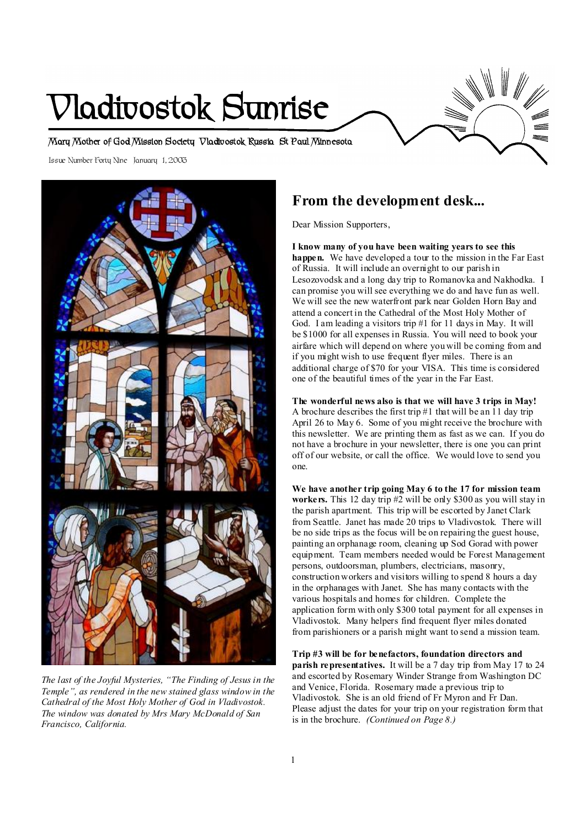# **Vladivostok Sunrise**

**Mary Mother of God Mission Society Vladivostok Russia St Paul Minnesota** 

Issue Number Forty Nine January 1, 2003



*The last of the Joyful Mysteries, "The Finding of Jesus in the Temple", as rendered in the new stained glass window in the Cathedral of the Most Holy Mother of God in Vladivostok. The window was donated by Mrs Mary McDonald of San Francisco, California.* 

# **From the development desk...**

Dear Mission Supporters,

**I know many of you have been waiting years to see this happen.** We have developed a tour to the mission in the Far East of Russia. It will include an overnight to our parish in Lesozovodsk and a long day trip to Romanovka and Nakhodka. I can promise you will see everything we do and have fun as well. We will see the new waterfront park near Golden Horn Bay and attend a concert in the Cathedral of the Most Holy Mother of God. I am leading a visitors trip #1 for 11 days in May. It will be \$1000 for all expenses in Russia. You will need to book your airfare which will depend on where you will be coming from and if you might wish to use frequent flyer miles. There is an additional charge of \$70 for your VISA. This time is considered one of the beautiful times of the year in the Far East.

**The wonderful news also is that we will have 3 trips in May!** A brochure describes the first trip #1 that will be an 11 day trip April 26 to May 6. Some of you might receive the brochure with this newsletter. We are printing them as fast as we can. If you do not have a brochure in your newsletter, there is one you can print off of our website, or call the office. We would love to send you one.

**We have another trip going May 6 to the 17 for mission team workers.** This 12 day trip #2 will be only \$300 as you will stay in the parish apartment. This trip will be escorted by Janet Clark from Seattle. Janet has made 20 trips to Vladivostok. There will be no side trips as the focus will be on repairing the guest house, painting an orphanage room, cleaning up Sod Gorad with power equipment. Team members needed would be Forest Management persons, outdoorsman, plumbers, electricians, masonry, construction workers and visitors willing to spend 8 hours a day in the orphanages with Janet. She has many contacts with the various hospitals and homes for children. Complete the application form with only \$300 total payment for all expenses in Vladivostok. Many helpers find frequent flyer miles donated from parishioners or a parish might want to send a mission team.

**Trip #3 will be for benefactors, foundation directors and parish representatives.** It will be a 7 day trip from May 17 to 24 and escorted by Rosemary Winder Strange from Washington DC and Venice, Florida. Rosemary made a previous trip to Vladivostok. She is an old friend of Fr Myron and Fr Dan. Please adjust the dates for your trip on your registration form that is in the brochure. *(Continued on Page 8.)*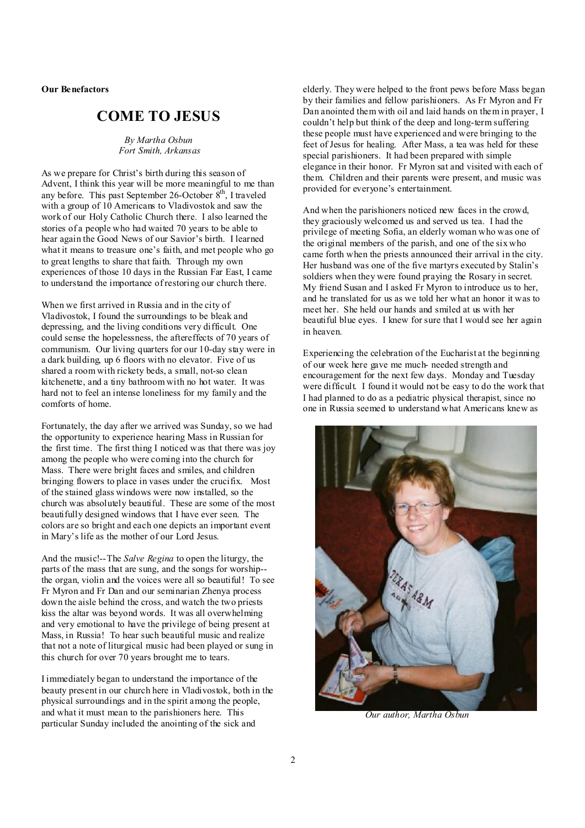**Our Benefactors** 

# **COME TO JESUS**

*By Martha Osbun Fort Smith, Arkansas* 

As we prepare for Christ's birth during this season of Advent, I think this year will be more meaningful to me than any before. This past September 26-October  $8<sup>th</sup>$ , I traveled with a group of 10 Americans to Vladivostok and saw the work of our Holy Catholic Church there. I also learned the stories of a people who had waited 70 years to be able to hear again the Good News of our Savior's birth. I learned what it means to treasure one's faith, and met people who go to great lengths to share that faith. Through my own experiences of those 10 days in the Russian Far East, I came to understand the importance of restoring our church there.

When we first arrived in Russia and in the city of Vladivostok, I found the surroundings to be bleak and depressing, and the living conditions very difficult. One could sense the hopelessness, the aftereffects of 70 years of communism. Our living quarters for our 10-day stay were in a dark building, up 6 floors with no elevator. Five of us shared a room with rickety beds, a small, not-so clean kitchenette, and a tiny bathroom with no hot water. It was hard not to feel an intense loneliness for my family and the comforts of home.

Fortunately, the day after we arrived was Sunday, so we had the opportunity to experience hearing Mass in Russian for the first time. The first thing I noticed was that there was joy among the people who were coming into the church for Mass. There were bright faces and smiles, and children bringing flowers to place in vases under the crucifix. Most of the stained glass windows were now installed, so the church was absolutely beautiful. These are some of the most beautifully designed windows that I have ever seen. The colors are so bright and each one depicts an important event in Mary's life as the mother of our Lord Jesus.

And the music!--The *Salve Regina* to open the liturgy, the parts of the mass that are sung, and the songs for worship- the organ, violin and the voices were all so beautiful! To see Fr Myron and Fr Dan and our seminarian Zhenya process down the aisle behind the cross, and watch the two priests kiss the altar was beyond words. It was all overwhelming and very emotional to have the privilege of being present at Mass, in Russia! To hear such beautiful music and realize that not a note of liturgical music had been played or sung in this church for over 70 years brought me to tears.

I immediately began to understand the importance of the beauty present in our church here in Vladivostok, both in the physical surroundings and in the spirit among the people, and what it must mean to the parishioners here. This particular Sunday included the anointing of the sick and

elderly. They were helped to the front pews before Mass began by their families and fellow parishioners. As Fr Myron and Fr Dan anointed them with oil and laid hands on them in prayer, I couldn't help but think of the deep and long-term suffering these people must have experienced and were bringing to the feet of Jesus for healing. After Mass, a tea was held for these special parishioners. It had been prepared with simple elegance in their honor. Fr Myron sat and visited with each of them. Children and their parents were present, and music was provided for everyone's entertainment.

And when the parishioners noticed new faces in the crowd, they graciously welcomed us and served us tea. I had the privilege of meeting Sofia, an elderly woman who was one of the original members of the parish, and one of the six who came forth when the priests announced their arrival in the city. Her husband was one of the five martyrs executed by Stalin's soldiers when they were found praying the Rosary in secret. My friend Susan and I asked Fr Myron to introduce us to her, and he translated for us as we told her what an honor it was to meet her. She held our hands and smiled at us with her beautiful blue eyes. I knew for sure that I would see her again in heaven.

Experiencing the celebration of the Eucharist at the beginning of our week here gave me much- needed strength and encouragement for the next few days. Monday and Tuesday were difficult. I found it would not be easy to do the work that I had planned to do as a pediatric physical therapist, since no one in Russia seemed to understand what Americans knew as



 *Our author, Martha Osbun*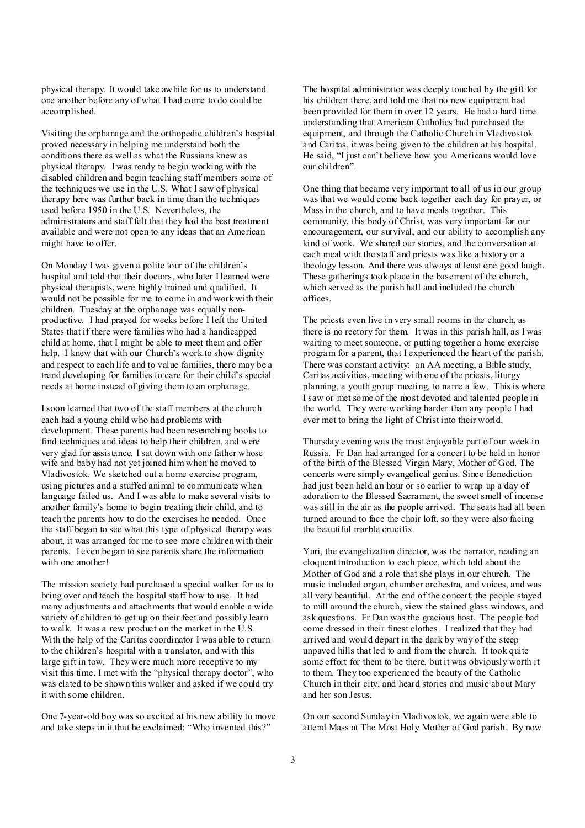physical therapy. It would take awhile for us to understand one another before any of what I had come to do could be accomplished.

Visiting the orphanage and the orthopedic children's hospital proved necessary in helping me understand both the conditions there as well as what the Russians knew as physical therapy. I was ready to begin working with the disabled children and begin teaching staff members some of the techniques we use in the U.S. What I saw of physical therapy here was further back in time than the techniques used before 1950 in the U.S. Nevertheless, the administrators and staff felt that they had the best treatment available and were not open to any ideas that an American might have to offer.

On Monday I was given a polite tour of the children's hospital and told that their doctors, who later I learned were physical therapists, were highly trained and qualified. It would not be possible for me to come in and work with their children. Tuesday at the orphanage was equally nonproductive. I had prayed for weeks before I left the United States that if there were families who had a handicapped child at home, that I might be able to meet them and offer help. I knew that with our Church's work to show dignity and respect to each life and to value families, there may be a trend developing for families to care for their child's special needs at home instead of giving them to an orphanage.

Isoon learned that two of the staff members at the church each had a young child who had problems with development. These parents had been researching books to find techniques and ideas to help their children, and were very glad for assistance. I sat down with one father whose wife and baby had not yet joined him when he moved to Vladivostok. We sketched out a home exercise program, using pictures and a stuffed animal to communicate when language failed us. And I was able to make several visits to another family's home to begin treating their child, and to teach the parents how to do the exercises he needed. Once the staff began to see what this type of physical therapy was about, it was arranged for me to see more children with their parents. I even began to see parents share the information with one another!

The mission society had purchased a special walker for us to bring over and teach the hospital staff how to use. It had many adjustments and attachments that would enable a wide variety of children to get up on their feet and possibly learn to walk. It was a new product on the market in the U.S. With the help of the Caritas coordinator I was able to return to the children's hospital with a translator, and with this large gift in tow. They were much more receptive to my visit this time. I met with the "physical therapy doctor", who was elated to be shown this walker and asked if we could try it with some children.

One 7-year-old boy was so excited at his new ability to move and take steps in it that he exclaimed: "Who invented this?"

The hospital administrator was deeply touched by the gift for his children there, and told me that no new equipment had been provided for them in over 12 years. He had a hard time understanding that American Catholics had purchased the equipment, and through the Catholic Church in Vladivostok and Caritas, it was being given to the children at his hospital. He said, "I just can't believe how you Americans would love our children".

One thing that became very important to all of us in our group was that we would come back together each day for prayer, or Mass in the church, and to have meals together. This community, this body of Christ, was very important for our encouragement, our survival, and our ability to accomplish any kind of work. We shared our stories, and the conversation at each meal with the staff and priests was like a history or a theology lesson. And there was always at least one good laugh. These gatherings took place in the basement of the church, which served as the parish hall and included the church offices.

The priests even live in very small rooms in the church, as there is no rectory for them. It was in this parish hall, as I was waiting to meet someone, or putting together a home exercise program for a parent, that I experienced the heart of the parish. There was constant activity: an AA meeting, a Bible study, Caritas activities, meeting with one of the priests, liturgy planning, a youth group meeting, to name a few. This is where I saw or met some of the most devoted and talented people in the world. They were working harder than any people I had ever met to bring the light of Christ into their world.

Thursday evening was the most enjoyable part of our week in Russia. Fr Dan had arranged for a concert to be held in honor of the birth of the Blessed Virgin Mary, Mother of God. The concerts were simply evangelical genius. Since Benediction had just been held an hour or so earlier to wrap up a day of adoration to the Blessed Sacrament, the sweet smell of incense was still in the air as the people arrived. The seats had all been turned around to face the choir loft, so they were also facing the beautiful marble crucifix.

Yuri, the evangelization director, was the narrator, reading an eloquent introduction to each piece, which told about the Mother of God and a role that she plays in our church. The music included organ, chamber orchestra, and voices, and was all very beautiful. At the end of the concert, the people stayed to mill around the church, view the stained glass windows, and ask questions. Fr Dan was the gracious host. The people had come dressed in their finest clothes. I realized that they had arrived and would depart in the dark by way of the steep unpaved hills that led to and from the church. It took quite some effort for them to be there, but it was obviously worth it to them. They too experienced the beauty of the Catholic Church in their city, and heard stories and music about Mary and her son Jesus.

On our second Sunday in Vladivostok, we again were able to attend Mass at The Most Holy Mother of God parish. By now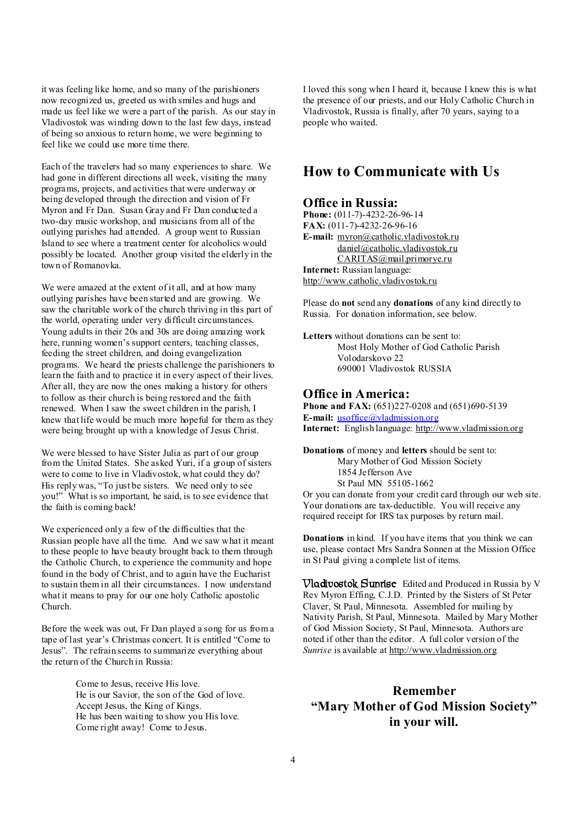it was feeling like home, and so many of the parishioners now recognized us, greeted us with smiles and hugs and made us feel like we were a part of the parish. As our stay in Vladivostok was winding down to the last few days, instead of being so anxious to return home, we were beginning to feel like we could use more time there.

Each of the travelers had so many experiences to share. We had gone in different directions all week, visiting the many programs, projects, and activities that were underway or being developed through the direction and vision of Fr Myron and Fr Dan. Susan Gray and Fr Dan conducted a two-day music workshop, and musicians from all of the outlying parishes had attended. A group went to Russian Island to see where a treatment center for alcoholics would possibly be located. Another group visited the elderly in the town of Romanovka.

We were amazed at the extent of it all, and at how many outlying parishes have been started and are growing. We saw the charitable work of the church thriving in this part of the world, operating under very difficult circumstances. Young adults in their 20s and 30s are doing amazing work here, running women's support centers, teaching classes, feeding the street children, and doing evangelization programs. We heard the priests challenge the parishioners to learn the faith and to practice it in every aspect of their lives. After all, they are now the ones making a history for others to follow as their church is being restored and the faith renewed. When I saw the sweet children in the parish, I knew that life would be much more hopeful for them as they were being brought up with a knowledge of Jesus Christ.

We were blessed to have Sister Julia as part of our group from the United States. She asked Yuri, if a group of sisters were to come to live in Vladivostok, what could they do? His reply was, "To just be sisters. We need only to see you!" What is so important, he said, is to see evidence that the faith is coming back!

We experienced only a few of the difficulties that the Russian people have all the time. And we saw what it meant to these people to have beauty brought back to them through the Catholic Church, to experience the community and hope found in the body of Christ, and to again have the Eucharist to sustain them in all their circumstances. I now understand what it means to pray for our one holy Catholic apostolic Church.

Before the week was out, Fr Dan played a song for us from a tape of last year's Christmas concert. It is entitled "Come to Jesus". The refrain seems to summarize everything about the return of the Church in Russia:

> Come to Jesus, receive His love. He is our Savior, the son of the God of love. Accept Jesus, the King of Kings. He has been waiting to show you His love. Come right away! Come to Jesus.

I loved this song when I heard it, because I knew this is what the presence of our priests, and our Holy Catholic Church in Vladivostok, Russia is finally, after 70 years, saying to a people who waited.

## **How to Communicate with Us**

## **Office in Russia:**

**Phone:** (011-7)-4232-26-96-14 **FAX:** (011-7)-4232-26-96-16 **E-mail:** [myron@catholic.vladivostok.ru](mailto:myron@catholic.vladivostok.ru) [daniel@catholic.vladivostok.ru](mailto:daniel@catholic.vladivostok.ru) [CARITAS@mail.primorye.ru](mailto:CARITAS@mail.primorye.ru) **Internet:** Russian language: <http://www.catholic.vladivostok.ru>

Please do **not** send any **donations** of any kind directly to Russia. For donation information, see below.

**Letters** without donations can be sent to: Most Holy Mother of God Catholic Parish Volodarskovo 22 690001 Vladivostok RUSSIA

## **Office in America:**

**Phone and FAX:** (651)227-0208 and (651)690-5139 **E-mail:** [usoffice@vladmission.org](mailto:usoffice@vladmission.org) **Internet:** English language: <http://www.vladmission.org>

**Donations** of money and **letters** should be sent to: Mary Mother of God Mission Society 1854 Jefferson Ave St Paul MN 55105-1662

Or you can donate from your credit card through our web site. Your donations are tax-deductible. You will receive any required receipt for IRS tax purposes by return mail.

**Donations** in kind. If you have items that you think we can use, please contact Mrs Sandra Sonnen at the Mission Office in St Paul giving a complete list of items.

**Vladivostok Sunrise** Edited and Produced in Russia by V Rev Myron Effing, C.J.D. Printed by the Sisters of St Peter Claver, St Paul, Minnesota. Assembled for mailing by Nativity Parish, St Paul, Minnesota. Mailed by Mary Mother of God Mission Society, St Paul, Minnesota. Authors are noted if other than the editor. A full color version of the *Sunrise* is available at <http://www.vladmission.org>

# **Remember "Mary Mother of God Mission Society" in your will.**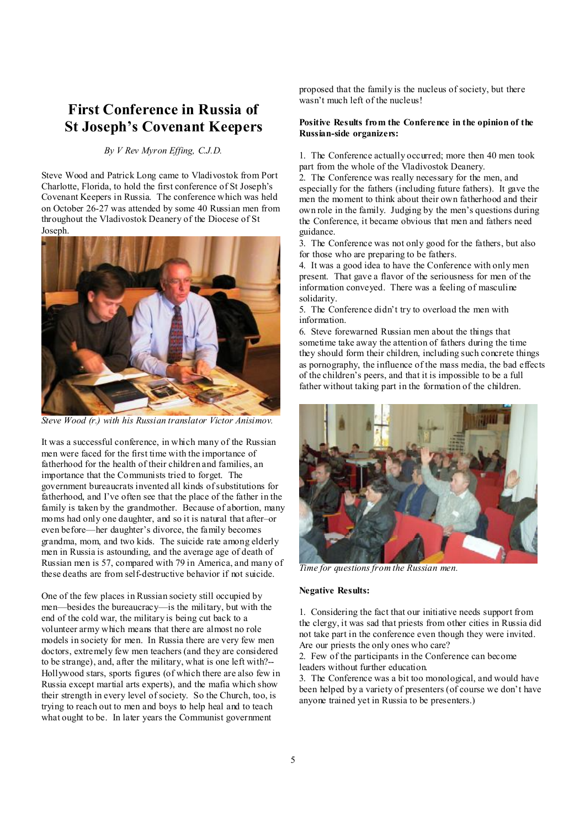# **First Conference in Russia of St Joseph's Covenant Keepers**

## *By V Rev Myron Effing, C.J.D.*

Steve Wood and Patrick Long came to Vladivostok from Port Charlotte, Florida, to hold the first conference of St Joseph's Covenant Keepers in Russia. The conference which was held on October 26-27 was attended by some 40 Russian men from throughout the Vladivostok Deanery of the Diocese of St Joseph.



*Steve Wood (r.) with his Russian translator Victor Anisimov.* 

It was a successful conference, in which many of the Russian men were faced for the first time with the importance of fatherhood for the health of their children and families, an importance that the Communists tried to forget. The government bureaucrats invented all kinds ofsubstitutions for fatherhood, and I've often see that the place of the father in the family is taken by the grandmother. Because of abortion, many moms had only one daughter, and so it is natural that after–or even before—her daughter's divorce, the family becomes grandma, mom, and two kids. The suicide rate among elderly men in Russia is astounding, and the average age of death of Russian men is 57, compared with 79 in America, and many of these deaths are from self-destructive behavior if not suicide.

One of the few places in Russian society still occupied by men—besides the bureaucracy—is the military, but with the end of the cold war, the military is being cut back to a volunteer army which means that there are almost no role models in society for men. In Russia there are very few men doctors, extremely few men teachers (and they are considered to be strange), and, after the military, what is one left with?-- Hollywood stars, sports figures (of which there are also few in Russia except martial arts experts), and the mafia which show their strength in every level of society. So the Church, too, is trying to reach out to men and boys to help heal and to teach what ought to be. In later years the Communist government

proposed that the family is the nucleus of society, but there wasn't much left of the nucleus!

## **Positive Results from the Conference in the opinion of the Russian-side organizers:**

1. The Conference actually occurred; more then 40 men took part from the whole of the Vladivostok Deanery.

2. The Conference was really necessary for the men, and especially for the fathers (including future fathers). It gave the men the moment to think about their own fatherhood and their own role in the family. Judging by the men's questions during the Conference, it became obvious that men and fathers need guidance.

3. The Conference was not only good for the fathers, but also for those who are preparing to be fathers.

4. It was a good idea to have the Conference with only men present. That gave a flavor of the seriousness for men of the information conveyed. There was a feeling of masculine solidarity.

5. The Conference didn't try to overload the men with information.

6. Steve forewarned Russian men about the things that sometime take away the attention of fathers during the time they should form their children, including such concrete things as pornography, the influence of the mass media, the bad effects of the children's peers, and that it is impossible to be a full father without taking part in the formation of the children.



*Time for questions from the Russian men.* 

#### **Negative Results:**

1. Considering the fact that our initiative needs support from the clergy, it was sad that priests from other cities in Russia did not take part in the conference even though they were invited. Are our priests the only ones who care?

2. Few of the participants in the Conference can become leaders without further education.

3. The Conference was a bit too monological, and would have been helped by a variety of presenters (of course we don't have anyone trained yet in Russia to be presenters.)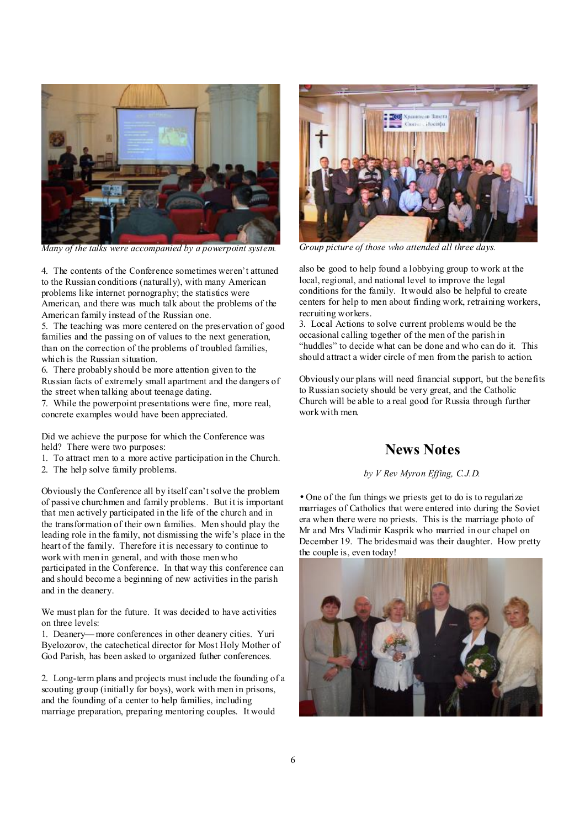

*Many of the talks were accompanied by a powerpoint system.* 

4. The contents of the Conference sometimes weren't attuned to the Russian conditions (naturally), with many American problems like internet pornography; the statistics were American, and there was much talk about the problems of the American family instead of the Russian one.

5. The teaching was more centered on the preservation of good families and the passing on of values to the next generation, than on the correction of the problems of troubled families, which is the Russian situation.

6. There probably should be more attention given to the Russian facts of extremely small apartment and the dangers of the street when talking about teenage dating.

7. While the powerpoint presentations were fine, more real, concrete examples would have been appreciated.

Did we achieve the purpose for which the Conference was held? There were two purposes:

- 1. To attract men to a more active participation in the Church.
- 2. The help solve family problems.

Obviously the Conference all by itself can't solve the problem of passive churchmen and family problems. But it is important that men actively participated in the life of the church and in the transformation of their own families. Men should play the leading role in the family, not dismissing the wife's place in the heart of the family. Therefore it is necessary to continue to work with men in general, and with those men who participated in the Conference. In that way this conference can and should become a beginning of new activities in the parish and in the deanery.

We must plan for the future. It was decided to have activities on three levels:

1. Deanery—more conferences in other deanery cities. Yuri Byelozorov, the catechetical director for Most Holy Mother of God Parish, has been asked to organized futher conferences.

2. Long-term plans and projects must include the founding of a scouting group (initially for boys), work with men in prisons, and the founding of a center to help families, including marriage preparation, preparing mentoring couples. It would



*Group picture of those who attended all three days.* 

also be good to help found a lobbying group to work at the local, regional, and national level to improve the legal conditions for the family. It would also be helpful to create centers for help to men about finding work, retraining workers, recruiting workers.

3. Local Actions to solve current problems would be the occasional calling together of the men of the parish in "huddles" to decide what can be done and who can do it. This should attract a wider circle of men from the parish to action.

Obviously our plans will need financial support, but the benefits to Russian society should be very great, and the Catholic Church will be able to a real good for Russia through further work with men.

## **News Notes**

#### *by V Rev Myron Effing, C.J.D.*

• One of the fun things we priests get to do is to regularize marriages of Catholics that were entered into during the Soviet era when there were no priests. This is the marriage photo of Mr and Mrs Vladimir Kasprik who married in our chapel on December 19. The bridesmaid was their daughter. How pretty the couple is, even today!

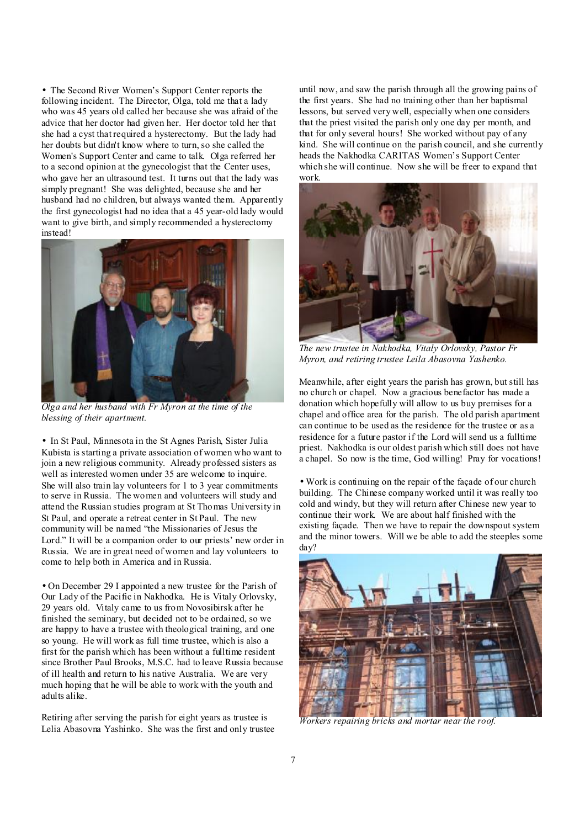• The Second River Women's Support Center reports the following incident. The Director, Olga, told me that a lady who was 45 years old called her because she was afraid of the advice that her doctor had given her. Her doctor told her that she had a cyst that required a hysterectomy. But the lady had her doubts but didn't know where to turn, so she called the Women's Support Center and came to talk. Olga referred her to a second opinion at the gynecologist that the Center uses, who gave her an ultrasound test. It turns out that the lady was simply pregnant! She was delighted, because she and her husband had no children, but always wanted them. Apparently the first gynecologist had no idea that a 45 year-old lady would want to give birth, and simply recommended a hysterectomy instead!



*Olga and her husband with Fr Myron at the time of the blessing of their apartment.* 

• In St Paul, Minnesota in the St Agnes Parish, Sister Julia Kubista is starting a private association of women who want to join a new religious community. Already professed sisters as well as interested women under 35 are welcome to inquire. She will also train lay volunteers for 1 to 3 year commitments to serve in Russia. The women and volunteers will study and attend the Russian studies program at St Thomas University in St Paul, and operate a retreat center in St Paul. The new community will be named "the Missionaries of Jesus the Lord." It will be a companion order to our priests' new order in Russia. We are in great need of women and lay volunteers to come to help both in America and in Russia.

• On December 29 I appointed a new trustee for the Parish of Our Lady of the Pacific in Nakhodka. He is Vitaly Orlovsky, 29 years old. Vitaly came to us from Novosibirsk after he finished the seminary, but decided not to be ordained, so we are happy to have a trustee with theological training, and one so young. He will work as full time trustee, which is also a first for the parish which has been without a fulltime resident since Brother Paul Brooks, M.S.C. had to leave Russia because of ill health and return to his native Australia. We are very much hoping that he will be able to work with the youth and adults alike.

Retiring after serving the parish for eight years as trustee is Lelia Abasovna Yashinko. She was the first and only trustee until now, and saw the parish through all the growing pains of the first years. She had no training other than her baptismal lessons, but served very well, especially when one considers that the priest visited the parish only one day per month, and that for only several hours! She worked without pay of any kind. She will continue on the parish council, and she currently heads the Nakhodka CARITAS Women's Support Center which she will continue. Now she will be freer to expand that work.

![](_page_6_Picture_7.jpeg)

*The new trustee in Nakhodka, Vitaly Orlovsky, Pastor Fr Myron, and retiring trustee Leila Abasovna Yashenko.*

Meanwhile, after eight years the parish has grown, but still has no church or chapel. Now a gracious benefactor has made a donation which hopefully will allow to us buy premises for a chapel and office area for the parish. The old parish apartment can continue to be used as the residence for the trustee or as a residence for a future pastor if the Lord will send us a fulltime priest. Nakhodka is our oldest parish which still does not have a chapel. So now is the time, God willing! Pray for vocations!

• Work is continuing on the repair of the façade of our church building. The Chinese company worked until it was really too cold and windy, but they will return after Chinese new year to continue their work. We are about half finished with the existing façade. Then we have to repair the downspout system and the minor towers. Will we be able to add the steeples some day?

![](_page_6_Picture_11.jpeg)

*Workers repairing bricks and mortar near the roof.*